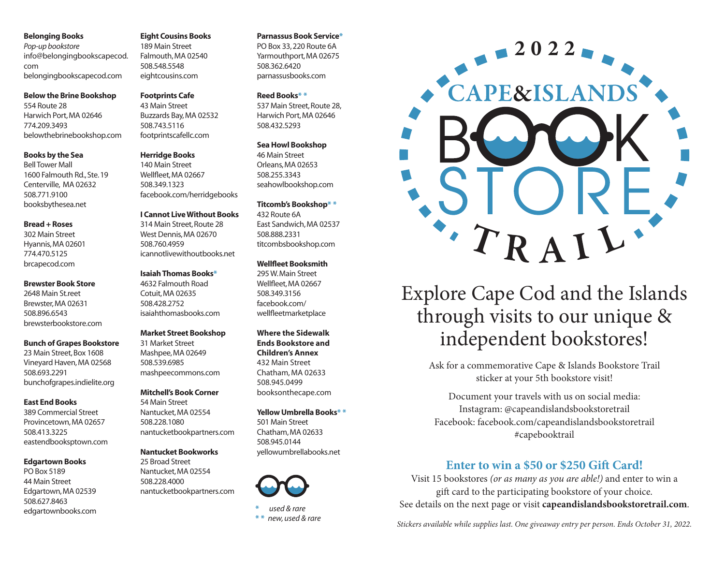*Pop-up bookstore* info@belongingbookscapecod. com belongingbookscapecod.com

#### **Below the Brine Bookshop**

554 Route 28 Harwich Port, MA 02646 774.209.3493 belowthebrinebookshop.com

#### **Books by the Sea**

Bell Tower Mall 1600 Falmouth Rd., Ste. 19 Centerville, MA 02632 508.771.9100 booksbythesea.net

#### **Bread + Roses**

302 Main Street Hyannis, MA 02601 774.470.5125 brcapecod.com

#### **Brewster Book Store**

2648 Main St.reet Brewster, MA 02631 508.896.6543 brewsterbookstore.com

#### **Bunch of Grapes Bookstore**

23 Main Street, Box 1608 Vineyard Haven, MA 02568 508.693.2291 bunchofgrapes.indielite.org

#### **East End Books**

389 Commercial Street Provincetown, MA 02657 508.413.3225 eastendbooksptown.com

#### **Edgartown Books**

PO Box 5189 44 Main Street Edgartown, MA 02539 508.627.8463 edgartownbooks.com

#### **Eight Cousins Books**

189 Main Street Falmouth, MA 02540 508.548.5548 eightcousins.com

#### **Footprints Cafe**

43 Main Street Buzzards Bay, MA 02532 508.743.5116 footprintscafellc.com

#### **Herridge Books**

140 Main Street Wellfleet, MA 02667 508.349.1323 facebook.com/herridgebooks

#### **I Cannot Live Without Books**

314 Main Street, Route 28 West Dennis, MA 02670 508.760.4959 icannotlivewithoutbooks.net

#### **Isaiah Thomas Books\***

4632 Falmouth Road Cotuit, MA 02635 508.428.2752 isaiahthomasbooks.com

#### **Market Street Bookshop**

31 Market Street Mashpee, MA 02649 508.539.6985 mashpeecommons.com

#### **Mitchell's Book Corner**

54 Main Street Nantucket, MA 02554 508.228.1080 nantucketbookpartners.com

#### **Nantucket Bookworks**

25 Broad Street Nantucket, MA 02554 508.228.4000 nantucketbookpartners.com

#### **Parnassus Book Service\***

PO Box 33, 220 Route 6A Yarmouthport, MA 02675 508.362.6420 parnassusbooks.com

#### **Reed Books\* \***

537 Main Street, Route 28, Harwich Port, MA 02646 508.432.5293

#### **Sea Howl Bookshop**

46 Main Street Orleans, MA 02653 508.255.3343 seahowlbookshop.com

#### **Titcomb's Bookshop\* \***

432 Route 6A East Sandwich, MA 02537 508.888.2331 titcombsbookshop.com

#### **Wellfleet Booksmith**

295 W. Main Street Wellfleet, MA 02667 508.349.3156 facebook.com/ wellfleetmarketplace

#### **Where the Sidewalk Ends Bookstore and**

**Children's Annex**  432 Main Street Chatham, MA 02633 508.945.0499 booksonthecape.com

#### **Yellow Umbrella Books\* \***



**\*** *used & rare* **\* \*** *new, used & rare*



## Explore Cape Cod and the Islands through visits to our unique & independent bookstores!

Ask for a commemorative Cape & Islands Bookstore Trail sticker at your 5th bookstore visit!

Document your travels with us on social media: Instagram: @capeandislandsbookstoretrail Facebook: facebook.com/capeandislandsbookstoretrail #capebooktrail

### **Enter to win a \$50 or \$250 Gift Card!**

Visit 15 bookstores *(or as many as you are able!)* and enter to win a gift card to the participating bookstore of your choice. See details on the next page or visit **capeandislandsbookstoretrail.com**.

# 501 Main Street

Chatham, MA 02633 508.945.0144 yellowumbrellabooks.net